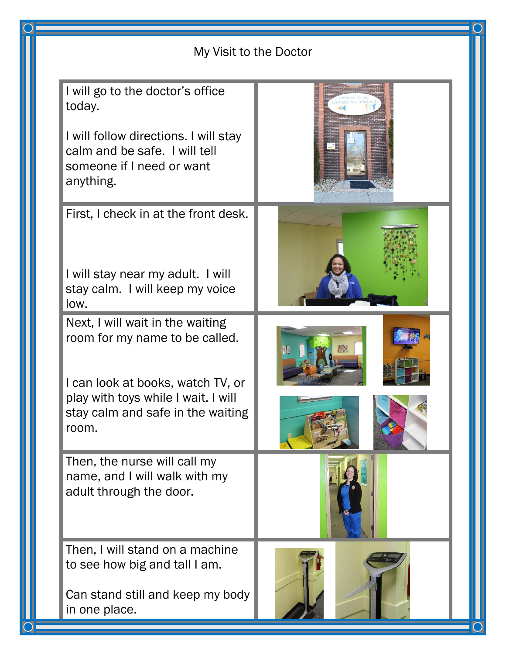|  |  | My Visit to the Doctor                                                                                                                                         |  |  |
|--|--|----------------------------------------------------------------------------------------------------------------------------------------------------------------|--|--|
|  |  | I will go to the doctor's office<br>today.<br>I will follow directions. I will stay<br>calm and be safe. I will tell<br>someone if I need or want<br>anything. |  |  |
|  |  | First, I check in at the front desk.<br>I will stay near my adult. I will<br>stay calm. I will keep my voice<br>low.<br>Next, I will wait in the waiting       |  |  |
|  |  | room for my name to be called.<br>I can look at books, watch TV, or<br>play with toys while I wait. I will<br>stay calm and safe in the waiting<br>room.       |  |  |
|  |  | Then, the nurse will call my<br>name, and I will walk with my<br>adult through the door.                                                                       |  |  |
|  |  | Then, I will stand on a machine<br>to see how big and tall I am.<br>Can stand still and keep my body<br>in one place.                                          |  |  |